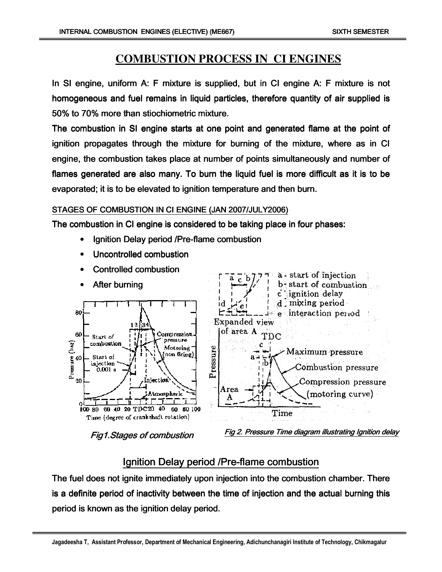# **COMBUSTION PROCESS IN CI ENGINES**

In SI engine, uniform A: F mixture is supplied, but in CI engine A: F mixture is not homogeneous and fuel remains in liquid particles, therefore quantity of air supplied is 50% to 70% more than stiochiometric mixture.

The combustion in SI engine starts at one point and generated flame at the point of ignition propagates through the mixture for burning of the mixture, where as in CI engine, the combustion takes place at number of points simultaneously and number of flames generated are also many. To burn the liquid fuel is more difficult as it is to be evaporated; it is to be elevated to ignition temperature and then burn.

### STAGES OF COMBUSTION IN CI ENGINE (JAN 2007/JULY2006)

The combustion in CI engine is considered to be taking place in four phases:

- Ignition Delay period /Pre-flame combustion
- Uncontrolled combustion
- Controlled combustion



Fig1.Stages of combustion

Fig 2. Pressure Time diagram illustrating Ignition delay

# Ignition Delay period /Pre-flame combustion

The fuel does not ignite immediately upon injection into the combustion chamber. There is a definite period of inactivity between the time of injection and the actual burning this period is known as the ignition delay period.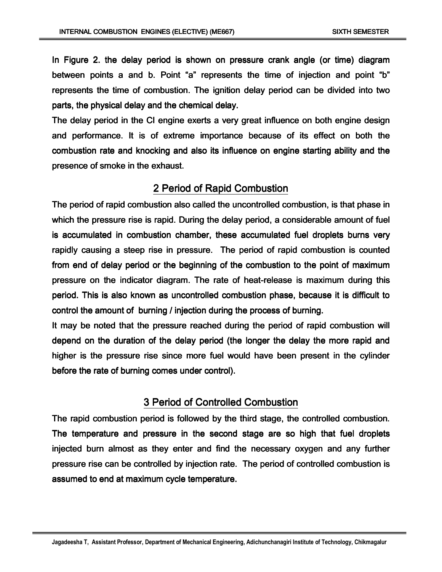In Figure 2. the delay period is shown on pressure crank angle (or time) diagram between points a and b. Point "a" represents the time of injection and point "b" represents the time of combustion. The ignition delay period can be divided into two parts, the physical delay and the chemical delay.

The delay period in the CI engine exerts a very great influence on both engine design and performance. It is of extreme importance because of its effect on both the combustion rate and knocking and also its influence on engine starting ability and the presence of smoke in the exhaust.

### 2 Period of Rapid Combustion

The period of rapid combustion also called the uncontrolled combustion, is that phase in which the pressure rise is rapid. During the delay period, a considerable amount of fuel is accumulated in combustion chamber, these accumulated fuel droplets burns very rapidly causing a steep rise in pressure. The period of rapid combustion is counted from end of delay period or the beginning of the combustion to the point of maximum pressure on the indicator diagram. The rate of heat-release is maximum during this period. This is also known as uncontrolled combustion phase, because it is difficult to control the amount of burning *l* injection during the process of burning.

It may be noted that the pressure reached during the period of rapid combustion will depend on the duration of the delay period (the longer the delay the more rapid and higher is the pressure rise since more fuel would have been present in the cylinder before the rate of burning comes under control).

## 3 Period of Controlled Combustion

The rapid combustion period is followed by the third stage, the controlled combustion. The temperature and pressure in the second stage are so high that fuel droplets injected burn almost as they enter and find the necessary oxygen and any further pressure rise can be controlled by injection rate. The period of controlled combustion is assumed to end at maximum cycle temperature.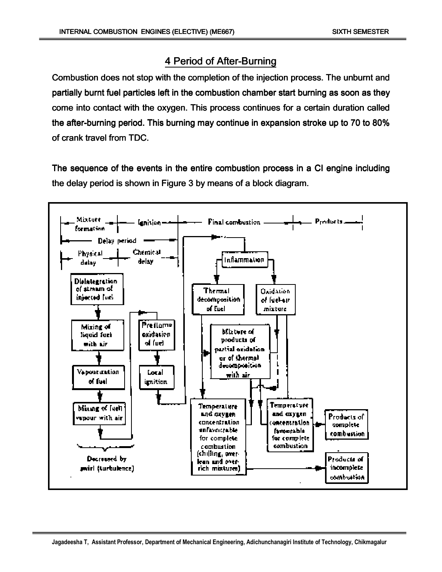# 4 Period of After-Burning

Combustion does not stop with the completion of the injection process. The unburnt and partially burnt fuel particles left in the combustion chamber start burning as soon as they come into contact with the oxygen. This process continues for a certain duration called the after-burning period. This burning may continue in expansion stroke up to 70 to 80% of crank travel from TDC.

The sequence of the events in the entire combustion process in a CI engine including the delay period is shown in Figure 3 by means of a block diagram.

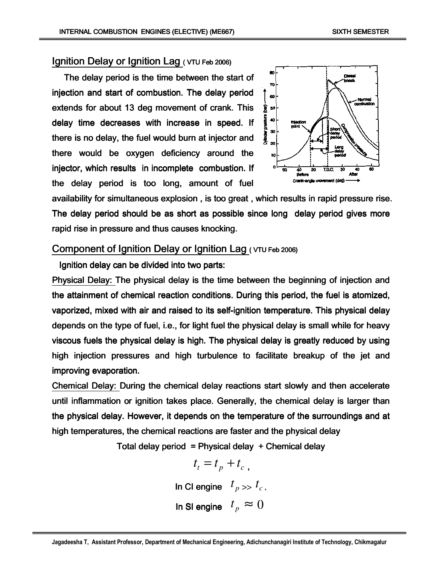### Ignition Delay or Ignition Lag ( VTU Feb 2006)

The delay period is the time between the start of injection and start of combustion. The delay period extends for about 13 deg movement of crank. This delay time decreases with increase in speed. If there is no delay, the fuel would burn at injector and there would be oxygen deficiency around the injector, which results in incomplete combustion. If the delay period is too long, amount of fuel



availability for simultaneous explosion , is too great , which results in rapid pressure rise. The delay period should be as short as possible since long delay period gives more rapid rise in pressure and thus causes knocking.

### Component of Ignition Delay or Ignition Lag ( VTU Feb 2006)

Ignition delay can be divided into two parts:

Physical Delay: The physical delay is the time between the beginning of injection and the attainment of chemical reaction conditions. During this period, the fuel is atomized, vaporized, mixed with air and raised to its self-ignition temperature. This physical delay depends on the type of fuel, i.e., for light fuel the physical delay is small while for heavy viscous fuels the physical delay is high. The physical delay is greatly reduced by using high injection pressures and high turbulence to facilitate breakup of the jet and improving evaporation.

Chemical Delay: During the chemical delay reactions start slowly and then accelerate until inflammation or ignition takes place. Generally, the chemical delay is larger than the physical delay. However, it depends on the temperature of the surroundings and at high temperatures, the chemical reactions are faster and the physical delay

Total delay period = Physical delay  $+$  Chemical delay

$$
t_t = t_p + t_c,
$$
  
In Cl engine  $t_p \gg t_c,$   
In Sl engine  $t_p \approx 0$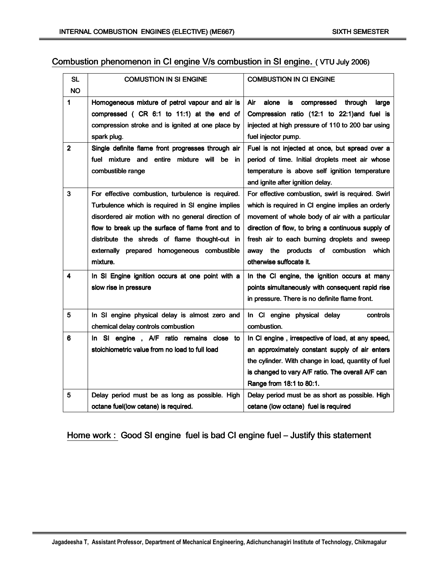## Combustion phenomenon in CI engine V/s combustion in SI engine. ( VTU July 2006)

| <b>SL</b>      | <b>COMUSTION IN SI ENGINE</b>                      | <b>COMBUSTION IN CI ENGINE</b>                       |  |
|----------------|----------------------------------------------------|------------------------------------------------------|--|
| <b>NO</b>      |                                                    |                                                      |  |
| 1              | Homogeneous mixture of petrol vapour and air is    | Air<br>alone<br>is<br>through<br>compressed<br>large |  |
|                | compressed ( CR 6:1 to 11:1) at the end of         | Compression ratio (12:1 to 22:1)and fuel is          |  |
|                | compression stroke and is ignited at one place by  | injected at high pressure of 110 to 200 bar using    |  |
|                | spark plug.                                        | fuel injector pump.                                  |  |
| 2 <sup>1</sup> | Single definite flame front progresses through air | Fuel is not injected at once, but spread over a      |  |
|                | fuel mixture and entire mixture will be<br>in.     | period of time. Initial droplets meet air whose      |  |
|                | combustible range                                  | temperature is above self ignition temperature       |  |
|                |                                                    | and ignite after ignition delay.                     |  |
| 3              | For effective combustion, turbulence is required.  | For effective combustion, swirl is required. Swirl   |  |
|                | Turbulence which is required in SI engine implies  | which is required in CI engine implies an orderly    |  |
|                | disordered air motion with no general direction of | movement of whole body of air with a particular      |  |
|                | flow to break up the surface of flame front and to | direction of flow, to bring a continuous supply of   |  |
|                | distribute the shreds of flame thought-out in      | fresh air to each burning droplets and sweep         |  |
|                | externally prepared homogeneous combustible        | away the products of combustion<br>which             |  |
|                | mixture.                                           | otherwise suffocate it.                              |  |
| 4              | In SI Engine ignition occurs at one point with a   | In the CI engine, the ignition occurs at many        |  |
|                | slow rise in pressure                              | points simultaneously with consequent rapid rise     |  |
|                |                                                    | in pressure. There is no definite flame front.       |  |
| 5              | In SI engine physical delay is almost zero and     | In CI engine physical delay<br>controls              |  |
|                | chemical delay controls combustion                 | combustion.                                          |  |
| 6              | In SI engine, A/F ratio remains close to           | In CI engine, irrespective of load, at any speed,    |  |
|                | stoichiometric value from no load to full load     | an approximately constant supply of air enters       |  |
|                |                                                    | the cylinder. With change in load, quantity of fuel  |  |
|                |                                                    | is changed to vary A/F ratio. The overall A/F can    |  |
|                |                                                    | Range from 18:1 to 80:1.                             |  |
| 5              | Delay period must be as long as possible. High     | Delay period must be as short as possible. High      |  |
|                | octane fuel(low cetane) is required.               | cetane (low octane) fuel is required                 |  |

## Home work : Good SI engine fuel is bad CI engine fuel – Justify this statement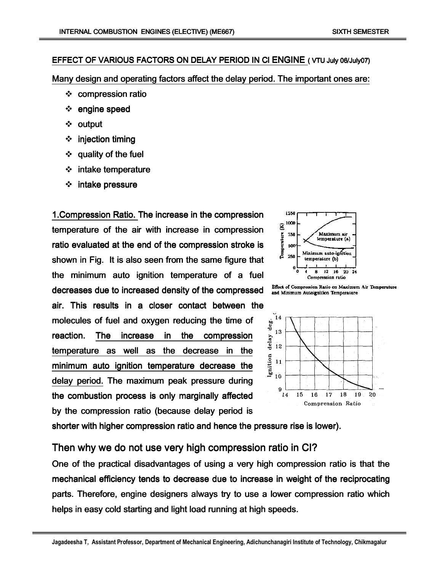#### EFFECT OF VARIOUS FACTORS ON DELAY PERIOD IN CI ENGINE ( VTU July 06/July07)

Many design and operating factors affect the delay period. The important ones are:

- compression ratio
- $\div$  engine speed
- ❖ output
- $\div$  injection timing
- $\div$  quality of the fuel
- $\div$  intake temperature
- $\div$  intake pressure

1. Compression Ratio. The increase in the compression temperature of the air with increase in compression ratio evaluated at the end of the compression stroke is shown in Fig. It is also seen from the same figure that the minimum auto ignition temperature of a fuel decreases due to increased density of the compressed air. This results in a closer contact between the molecules of fuel and oxygen reducing the time of reaction. The increase in the compression temperature as well as the decrease in the minimum auto ignition temperature decrease the delay period. The maximum peak pressure during the combustion process is only marginally affected by the compression ratio (because delay period is



Effect of Compression Ratio on Maximum Air Temperature and Minimum Autoignition Temperature



shorter with higher compression ratio and hence the pressure rise is lower).

Then why we do not use very high compression ratio in CI?

One of the practical disadvantages of using a very high compression ratio is that the mechanical efficiency tends to decrease due to increase in weight of the reciprocating parts. Therefore, engine designers always try to use a lower compression ratio which helps in easy cold starting and light load running at high speeds.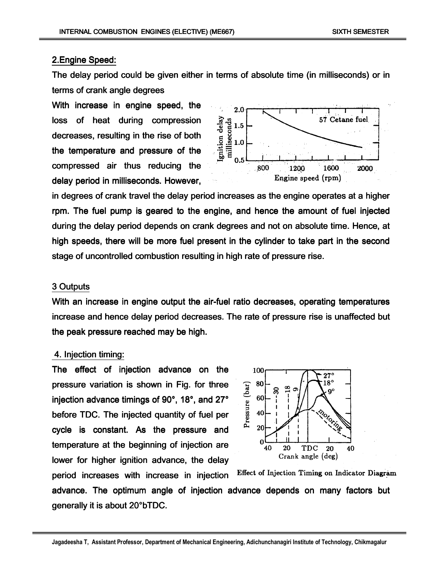#### 2.Engine Speed:

The delay period could be given either in terms of absolute time (in milliseconds) or in terms of crank angle degrees

With increase in engine speed, the loss of heat during compression decreases, resulting in the rise of both the temperature and pressure of the compressed air thus reducing the delay period in milliseconds. However,



in degrees of crank travel the delay period increases as the engine operates at a higher rpm. The fuel pump is geared to the engine, and hence the amount of fuel injected during the delay period depends on crank degrees and not on absolute time. Hence, at high speeds, there will be more fuel present in the cylinder to take part in the second stage of uncontrolled combustion resulting in high rate of pressure rise.

#### 3 Outputs

With an increase in engine output the air-fuel ratio decreases, operating temperatures increase and hence delay period decreases. The rate of pressure rise is unaffected but the peak pressure reached may be high.

#### 4. Injection timing: 4.

The effect of injection advance on the pressure variation is shown in Fig. for three injection advance timings of 90°, 18°, and 27° before TDC. The injected quantity of fuel per cycle is constant. As the pressure and temperature at the beginning of injection are lower for higher ignition advance, the delay



Effect of Injection Timing on Indicator Diagram period increases with increase in injection advance. The optimum angle of injection advance depends on many factors but generally it is about 20°bTDC.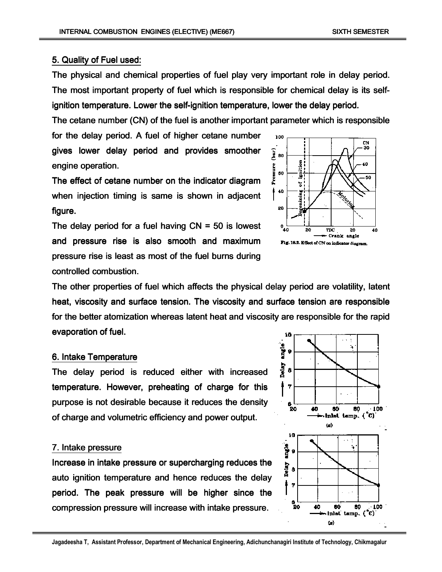#### 5. Quality of Fuel used:

The physical and chemical properties of fuel play very important role in delay period. The most important property of fuel which is responsible for chemical delay is its selfignition temperature. Lower the self-ignition temperature, lower the delay period.

The cetane number (CN) of the fuel is another important parameter which is responsible

for the delay period. A fuel of higher cetane number gives lower delay period and provides smoother engine operation.

The effect of cetane number on the indicator diagram when injection timing is same is shown in adjacent figure.

The delay period for a fuel having  $CN = 50$  is lowest and pressure rise is also smooth and maximum pressure rise is least as most of the fuel burns during controlled combustion.



The other properties of fuel which affects the physical delay period are volatility, latent heat, viscosity and surface tension. The viscosity and surface tension are responsible for the better atomization whereas latent heat and viscosity are responsible for the rapid evaporation of fuel.

#### 6. Intake Temperature

The delay period is reduced either with increased temperature. However, preheating of charge for this purpose is not desirable because it reduces the density of charge and volumetric efficiency and power output.

#### 7. Intake pressure

Increase in intake pressure or supercharging reduces the auto ignition temperature and hence reduces the delay period. The peak pressure will be higher since the compression pressure will increase with intake pressure.

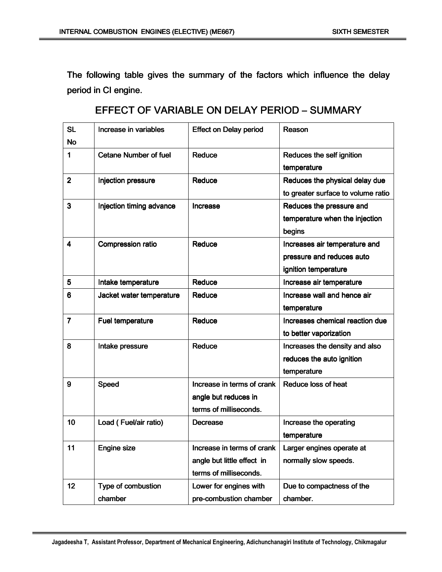The following table gives the summary of the factors which influence the delay period in CI engine.

| <b>SL</b>      | Increase in variables                | <b>Effect on Delay period</b> | Reason                             |  |
|----------------|--------------------------------------|-------------------------------|------------------------------------|--|
| <b>No</b>      |                                      |                               |                                    |  |
| $\mathbf 1$    | <b>Cetane Number of fuel</b>         | Reduce                        | Reduces the self ignition          |  |
|                |                                      |                               | temperature                        |  |
| $\overline{2}$ | Injection pressure                   | Reduce                        | Reduces the physical delay due     |  |
|                |                                      |                               | to greater surface to volume ratio |  |
| 3              | Injection timing advance<br>Increase |                               | Reduces the pressure and           |  |
|                |                                      |                               | temperature when the injection     |  |
|                |                                      |                               | begins                             |  |
| 4              | Compression ratio                    | Reduce                        | Increases air temperature and      |  |
|                |                                      |                               | pressure and reduces auto          |  |
|                |                                      |                               | ignition temperature               |  |
| 5              | Intake temperature                   | Reduce                        | Increase air temperature           |  |
| $6\phantom{1}$ | Jacket water temperature             | Reduce                        | Increase wall and hence air        |  |
|                |                                      |                               | temperature                        |  |
| $\overline{7}$ | Fuel temperature                     | Reduce                        | Increases chemical reaction due    |  |
|                |                                      |                               | to better vaporization             |  |
| 8              | Intake pressure                      | Reduce                        | Increases the density and also     |  |
|                |                                      |                               | reduces the auto ignition          |  |
|                |                                      |                               | temperature                        |  |
| 9              | Speed                                | Increase in terms of crank    | Reduce loss of heat                |  |
|                |                                      | angle but reduces in          |                                    |  |
|                |                                      | terms of milliseconds.        |                                    |  |
| 10             | Load (Fuel/air ratio)                | <b>Decrease</b>               | Increase the operating             |  |
|                |                                      |                               | temperature                        |  |
| 11             | Engine size                          | Increase in terms of crank    | Larger engines operate at          |  |
|                |                                      | angle but little effect in    | normally slow speeds.              |  |
|                |                                      | terms of milliseconds.        |                                    |  |
| 12             | Type of combustion                   | Lower for engines with        | Due to compactness of the          |  |
|                | chamber                              | pre-combustion chamber        | chamber.                           |  |

# EFFECT OF VARIABLE ON DELAY PERIOD – SUMMARY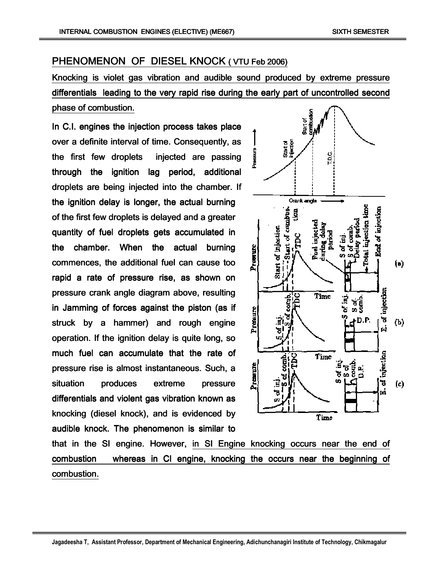# PHENOMENON OF DIESEL KNOCK ( VTU Feb 2006)

Knocking is violet gas vibration and audible sound produced by extreme pressure differentials leading to the very rapid rise during the early part of uncontrolled second phase of combustion.

In C.I. engines the injection process takes place over a definite interval of time. Consequently, as the first few droplets injected are passing through the ignition lag period, additional droplets are being injected into the chamber. If the ignition delay is longer, the actual burning of the first few droplets is delayed and a greater quantity of fuel droplets gets accumulated in the chamber. When the actual burning commences, the additional fuel can cause too rapid a rate of pressure rise, as shown on pressure crank angle diagram above, resulting in Jamming of forces against the piston (as if struck by a hammer) and rough engine operation. If the ignition delay is quite long, so much fuel can accumulate that the rate of pressure rise is almost instantaneous. Such, a situation produces extreme pressure differentials and violent gas vibration known as knocking (diesel knock), and is evidenced by audible knock. The phenomenon is similar to



that in the SI engine. However, in SI Engine knocking occurs near the end of combustion whereas in CI engine, knocking the occurs near the beginning of combustion.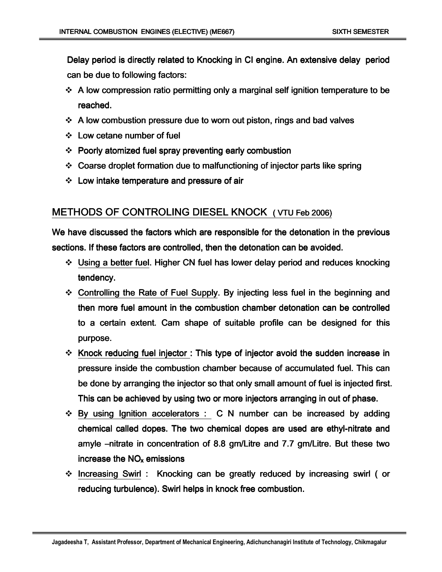Delay period is directly related to Knocking in CI engine. An extensive delay period can be due to following factors:

- $\div$  A low compression ratio permitting only a marginal self ignition temperature to be reached.
- $\div$  A low combustion pressure due to worn out piston, rings and bad valves
- $\div$  Low cetane number of fuel
- $\div$  Poorly atomized fuel spray preventing early combustion
- $\div$  Coarse droplet formation due to malfunctioning of injector parts like spring
- $\div$  Low intake temperature and pressure of air

## METHODS OF CONTROLING DIESEL KNOCK ( VTU Feb 2006)

We have discussed the factors which are responsible for the detonation in the previous sections. If these factors are controlled, then the detonation can be avoided.

- $\div$  Using a better fuel. Higher CN fuel has lower delay period and reduces knocking tendency.
- $\div$  Controlling the Rate of Fuel Supply. By injecting less fuel in the beginning and then more fuel amount in the combustion chamber detonation can be controlled to a certain extent. Cam shape of suitable profile can be designed for this purpose.
- $\cdot$  Knock reducing fuel injector : This type of injector avoid the sudden increase in pressure inside the combustion chamber because of accumulated fuel. This can be done by arranging the injector so that only small amount of fuel is injected first. This can be achieved by using two or more injectors arranging in out of phase.
- $\div$  By using Ignition accelerators : C N number can be increased by adding chemical called dopes. The two chemical dopes are used are ethyl-nitrate and amyle –nitrate in concentration of 8.8 gm/Litre and 7.7 gm/Litre. But these two increase the  $NO<sub>x</sub>$  emissions
- $\cdot$  Increasing Swirl : Knocking can be greatly reduced by increasing swirl ( or reducing turbulence). Swirl helps in knock free combustion.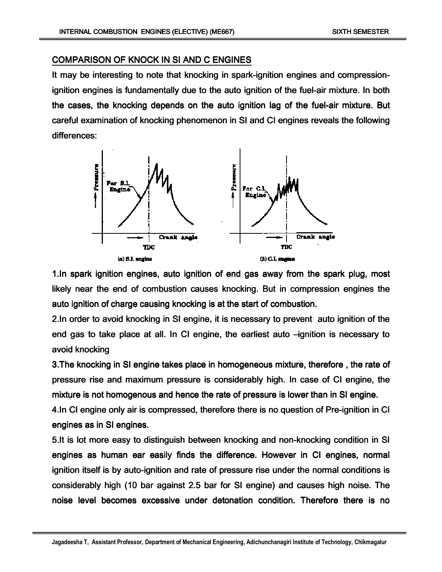#### COMPARISON OF KNOCK IN SI AND C ENGINES

It may be interesting to note that knocking in spark-ignition engines and compressionignition engines is fundamentally due to the auto ignition of the fuel-air mixture. In both the cases, the knocking depends on the auto ignition lag of the fuel-air mixture. But careful examination of knocking phenomenon in SI and CI engines reveals the following differences:



1.In spark ignition engines, auto ignition of end gas away from the spark plug, most likely near the end of combustion causes knocking. But in compression engines the auto ignition of charge causing knocking is at the start of combustion.

2.In order to avoid knocking in SI engine, it is necessary to prevent auto ignition of the end gas to take place at all. In CI engine, the earliest auto –ignition is necessary to avoid knocking

3. The knocking in SI engine takes place in homogeneous mixture, therefore, the rate of pressure rise and maximum pressure is considerably high. In case of CI engine, the mixture is not homogenous and hence the rate of pressure is lower than in SI engine.

4.In CI engine only air is compressed, therefore there is no question of Pre-ignition in CI engines as in SI engines.

5.It is lot more easy to distinguish between knocking and non-knocking condition in SI engines as human ear easily finds the difference. However in CI engines, normal ignition itself is by auto-ignition and rate of pressure rise under the normal conditions is considerably high (10 bar against 2.5 bar for SI engine) and causes high noise. The noise level becomes excessive under detonation condition. Therefore there is no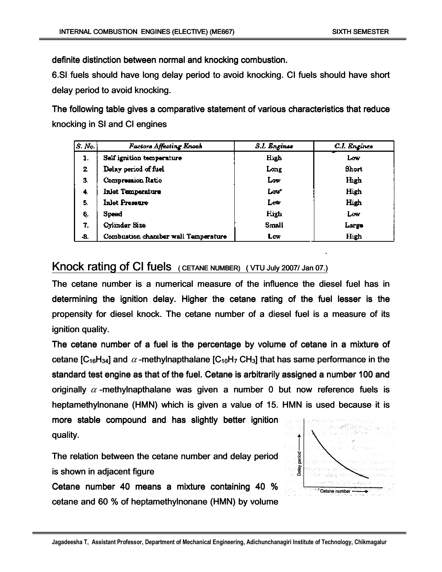definite distinction between normal and knocking combustion.

6.SI fuels should have long delay period to avoid knocking. CI fuels should have short delay period to avoid knocking.

The following table gives a comparative statement of various characteristics that reduce knocking in SI and CI engines

| S. No. | Factors Affecting Knoch             | S.I. Engines | C.I. Engines |
|--------|-------------------------------------|--------------|--------------|
| ı.     | Self ignition temperature           | High         | Low          |
| 2.     | Delay period of fuel                | Long         | Short        |
| З.     | Compression Ratio                   | Low          | High         |
| 4.     | Inlet Temperature                   | Low          | High         |
| 5.     | Inlet Pressure                      | Low          | High         |
| 6.     | Speed                               | High         | Low          |
| 7.     | Cylinder Size                       | Small        | Large        |
| -8.    | Combustion chamber wall Temperature | Low          | <b>High</b>  |

# Knock rating of CI fuels ( CETANE NUMBER) ( VTU July 2007/ Jan 07.)

The cetane number is a numerical measure of the influence the diesel fuel has in determining the ignition delay. Higher the cetane rating of the fuel lesser is the propensity for diesel knock. The cetane number of a diesel fuel is a measure of its ignition quality.

The cetane number of a fuel is the percentage by volume of cetane in a mixture of cetane [C<sub>16</sub>H<sub>34</sub>] and  $\alpha$  -methylnapthalane [C<sub>10</sub>H<sub>7</sub> CH<sub>3</sub>] that has same performance in the standard test engine as that of the fuel. Cetane is arbitrarily assigned a number 100 and originally  $\alpha$  -methylnapthalane was given a number 0 but now reference fuels is heptamethylnonane (HMN) which is given a value of 15. HMN is used because it is more stable compound and has slightly better ignition quality. quality.

The relation between the cetane number and delay period is shown in adjacent figure

Cetane number 40 means a mixture containing 40 % cetane and 60  $%$  of heptamethylnonane (HMN) by volume

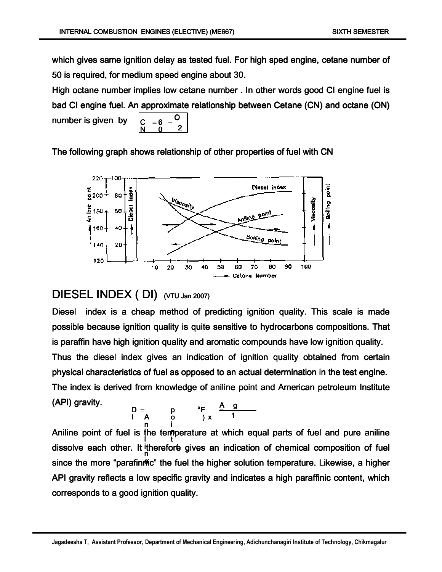which gives same ignition delay as tested fuel. For high sped engine, cetane number of 50 is required, for medium speed engine about 30.

High octane number implies low cetane number . In other words good CI engine fuel is bad CI engine fuel. An approximate relationship between Cetane (CN) and octane (ON) number is given by 2 $\overline{\mathsf{o}}$ 6 $-\frac{1}{2}$  $\tilde{\mathbf{0}}$ C N $= 6 -$ 

The following graph shows relationship of other properties of fuel with CN



# DIESEL INDEX (DI) (VTU Jan 2007)

Diesel index is a cheap method of predicting ignition quality. This scale is made possible because ignition quality is quite sensitive to hydrocarbons compositions. That is paraffin have high ignition quality and aromatic compounds have low ignition quality. Thus the diesel index gives an indication of ignition quality obtained from certain physical characteristics of fuel as opposed to an actual determination in the test engine. The index is derived from knowledge of aniline point and American petroleum Institute (API) gravity. ggA

$$
D = \n\begin{array}{ccccc}\nD & \text{p} & \text{p} & \text{A} & \text{g} \\
I & A & O & \text{y} & 1\n\end{array}
$$

Aniline point of fuel is the temperature at which equal parts of fuel and pure aniline dissolve each other. It therefore gives an indication of chemical composition of fuel since the more "parafinme" the fuel the higher solution temperature. Likewise, a higher API gravity reflects a low specific gravity and indicates a high paraffinic content, which corresponds to a good ignition quality. the temp<br>I th<br>I iD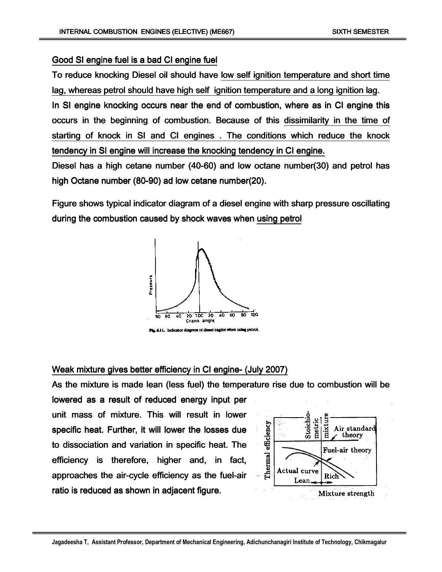#### Good SI engine fuel is a bad CI engine fuel

To reduce knocking Diesel oil should have low self ignition temperature and short time lag, whereas petrol should have high self ignition temperature and a long ignition lag.

In SI engine knocking occurs near the end of combustion, where as in CI engine this occurs in the beginning of combustion. Because of this dissimilarity in the time of starting of knock in SI and CI engines. The conditions which reduce the knock tendency in SI engine will increase the knocking tendency in CI engine.

Diesel has a high cetane number  $(40-60)$  and low octane number $(30)$  and petrol has high Octane number (80-90) ad low cetane number(20).

Figure shows typical indicator diagram of a diesel engine with sharp pressure oscillating during the combustion caused by shock waves when using petrol



Weak mixture gives better efficiency in CI engine- (July 2007)

As the mixture is made lean (less fuel) the temperature rise due to combustion will be

lowered as a result of reduced energy input per unit mass of mixture. This will result in lower specific heat. Further, it will lower the losses due to dissociation and variation in specific heat. The efficiency is therefore, higher and, in fact, approaches the air-cycle efficiency as the fuel-air ratio is reduced as shown in adjacent figure.